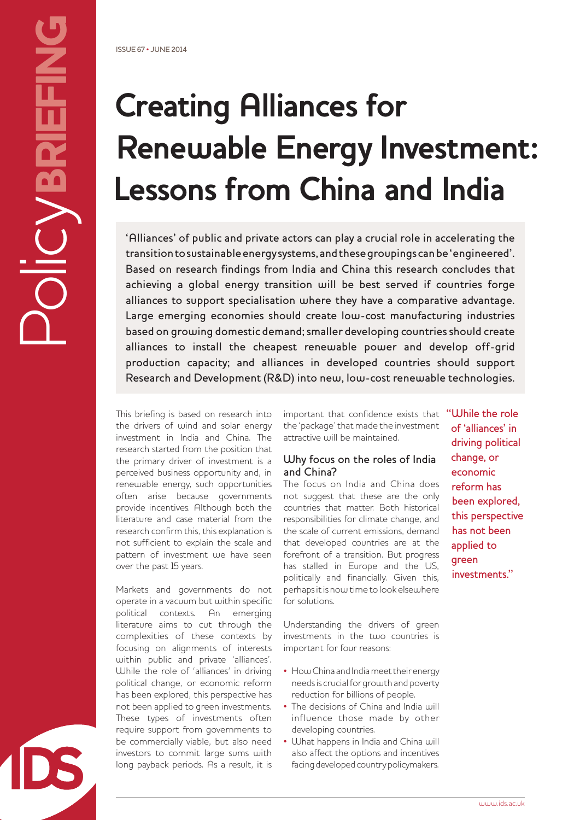# **Creating Alliances for Renewable Energy Investment: Lessons from China and India**

'Alliances' of public and private actors can play a crucial role in accelerating the transition to sustainable energy systems, and these groupings can be 'engineered'. Based on research findings from India and China this research concludes that achieving a global energy transition will be best served if countries forge alliances to support specialisation where they have a comparative advantage. Large emerging economies should create low-cost manufacturing industries based on growing domestic demand; smaller developing countries should create alliances to install the cheapest renewable power and develop off-grid production capacity; and alliances in developed countries should support Research and Development (R&D) into new, low-cost renewable technologies.

This briefing is based on research into the drivers of wind and solar energy investment in India and China. The research started from the position that the primary driver of investment is a perceived business opportunity and, in renewable energy, such opportunities often arise because governments provide incentives. Although both the literature and case material from the research confirm this, this explanation is not sufficient to explain the scale and pattern of investment we have seen over the past 15 years.

Markets and governments do not operate in a vacuum but within specific political contexts. An emerging literature aims to cut through the complexities of these contexts by focusing on alignments of interests within public and private 'alliances'. While the role of 'alliances' in driving political change, or economic reform has been explored, this perspective has not been applied to green investments. These types of investments often require support from governments to be commercially viable, but also need investors to commit large sums with long payback periods. As a result, it is

important that confidence exists that the 'package' that made the investment attractive will be maintained.

### Why focus on the roles of India and China?

The focus on India and China does not suggest that these are the only countries that matter. Both historical responsibilities for climate change, and the scale of current emissions, demand that developed countries are at the forefront of a transition. But progress has stalled in Europe and the US, politically and financially. Given this, perhaps it is now time to look elsewhere for solutions.

Understanding the drivers of green investments in the two countries is important for four reasons:

- How China and India meet their energy needs is crucial for growth and poverty reduction for billions of people.
- The decisions of China and India will influence those made by other developing countries.
- What happens in India and China will also affect the options and incentives facing developed country policymakers.

"While the role of 'alliances' in driving political change, or economic reform has been explored, this perspective has not been applied to green investments."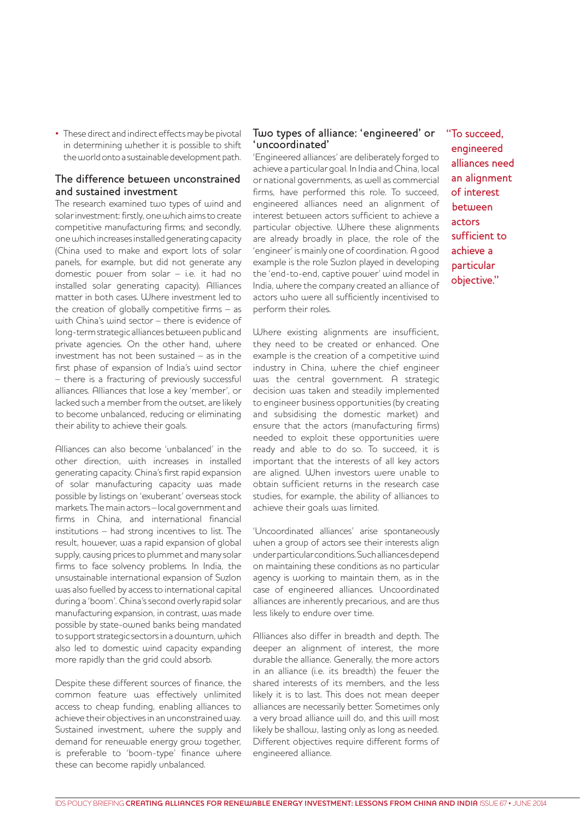• These direct and indirect effects may be pivotal in determining whether it is possible to shift the world onto a sustainable development path.

## The difference between unconstrained and sustained investment

The research examined two types of wind and solar investment: firstly, one which aims to create competitive manufacturing firms; and secondly, one which increases installed generating capacity (China used to make and export lots of solar panels, for example, but did not generate any domestic power from solar – i.e. it had no installed solar generating capacity). Alliances matter in both cases. Where investment led to the creation of globally competitive firms  $-$  as with China's wind sector – there is evidence of long-term strategic alliances between public and private agencies. On the other hand, where investment has not been sustained – as in the first phase of expansion of India's wind sector – there is a fracturing of previously successful alliances. Alliances that lose a key 'member', or lacked such a member from the outset, are likely to become unbalanced, reducing or eliminating their ability to achieve their goals.

Alliances can also become 'unbalanced' in the other direction, with increases in installed generating capacity. China's first rapid expansion of solar manufacturing capacity was made possible by listings on 'exuberant' overseas stock markets. The main actors – local government and firms in China, and international financial institutions – had strong incentives to list. The result, however, was a rapid expansion of global supply, causing prices to plummet and many solar firms to face solvency problems. In India, the unsustainable international expansion of Suzlon was also fuelled by access to international capital during a 'boom'. China's second overly rapid solar manufacturing expansion, in contrast, was made possible by state-owned banks being mandated to support strategic sectors in a downturn, which also led to domestic wind capacity expanding more rapidly than the grid could absorb.

Despite these different sources of finance, the common feature was effectively unlimited access to cheap funding, enabling alliances to achieve their objectives in an unconstrained way. Sustained investment, where the supply and demand for renewable energy grow together, is preferable to 'boom-type' finance where these can become rapidly unbalanced.

#### Two types of alliance: 'engineered' or 'uncoordinated'

'Engineered alliances' are deliberately forged to achieve a particular goal. In India and China, local or national governments, as well as commercial firms, have performed this role. To succeed, engineered alliances need an alignment of interest between actors sufficient to achieve a particular objective. Where these alignments are already broadly in place, the role of the 'engineer' is mainly one of coordination. A good example is the role Suzlon played in developing the 'end-to-end, captive power' wind model in India, where the company created an alliance of actors who were all sufficiently incentivised to perform their roles.

Where existing alignments are insufficient, they need to be created or enhanced. One example is the creation of a competitive wind industry in China, where the chief engineer was the central government. A strategic decision was taken and steadily implemented to engineer business opportunities (by creating and subsidising the domestic market) and ensure that the actors (manufacturing firms) needed to exploit these opportunities were ready and able to do so. To succeed, it is important that the interests of all key actors are aligned. When investors were unable to obtain sufficient returns in the research case studies, for example, the ability of alliances to achieve their goals was limited.

'Uncoordinated alliances' arise spontaneously when a group of actors see their interests align under particular conditions. Such alliances depend on maintaining these conditions as no particular agency is working to maintain them, as in the case of engineered alliances. Uncoordinated alliances are inherently precarious, and are thus less likely to endure over time.

Alliances also differ in breadth and depth. The deeper an alignment of interest, the more durable the alliance. Generally, the more actors in an alliance (i.e. its breadth) the fewer the shared interests of its members, and the less likely it is to last. This does not mean deeper alliances are necessarily better. Sometimes only a very broad alliance will do, and this will most likely be shallow, lasting only as long as needed. Different objectives require different forms of engineered alliance.

"To succeed, engineered alliances need an alignment of interest between actors sufficient to achieve a particular objective."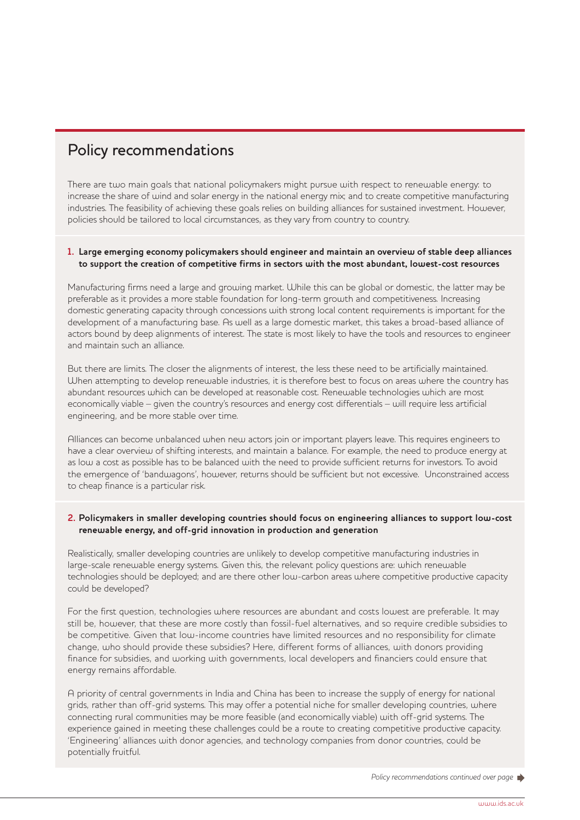## Policy recommendations

There are two main goals that national policymakers might pursue with respect to renewable energy: to increase the share of wind and solar energy in the national energy mix; and to create competitive manufacturing industries. The feasibility of achieving these goals relies on building alliances for sustained investment. However, policies should be tailored to local circumstances, as they vary from country to country.

#### **1. Large emerging economy policymakers should engineer and maintain an overview of stable deep alliances to support the creation of competitive firms in sectors with the most abundant, lowest-cost resources**

Manufacturing firms need a large and growing market. While this can be global or domestic, the latter may be preferable as it provides a more stable foundation for long-term growth and competitiveness. Increasing domestic generating capacity through concessions with strong local content requirements is important for the development of a manufacturing base. As well as a large domestic market, this takes a broad-based alliance of actors bound by deep alignments of interest. The state is most likely to have the tools and resources to engineer and maintain such an alliance.

But there are limits. The closer the alignments of interest, the less these need to be artificially maintained. When attempting to develop renewable industries, it is therefore best to focus on areas where the country has abundant resources which can be developed at reasonable cost. Renewable technologies which are most economically viable – given the country's resources and energy cost differentials – will require less artificial engineering, and be more stable over time.

Alliances can become unbalanced when new actors join or important players leave. This requires engineers to have a clear overview of shifting interests, and maintain a balance. For example, the need to produce energy at as low a cost as possible has to be balanced with the need to provide sufficient returns for investors. To avoid the emergence of 'bandwagons', however, returns should be sufficient but not excessive. Unconstrained access to cheap finance is a particular risk.

#### **2. Policymakers in smaller developing countries should focus on engineering alliances to support low-cost renewable energy, and off-grid innovation in production and generation**

Realistically, smaller developing countries are unlikely to develop competitive manufacturing industries in large-scale renewable energy systems. Given this, the relevant policy questions are: which renewable technologies should be deployed; and are there other low-carbon areas where competitive productive capacity could be developed?

For the first question, technologies where resources are abundant and costs lowest are preferable. It may still be, however, that these are more costly than fossil-fuel alternatives, and so require credible subsidies to be competitive. Given that low-income countries have limited resources and no responsibility for climate change, who should provide these subsidies? Here, different forms of alliances, with donors providing finance for subsidies, and working with governments, local developers and financiers could ensure that energy remains affordable.

A priority of central governments in India and China has been to increase the supply of energy for national grids, rather than off-grid systems. This may offer a potential niche for smaller developing countries, where connecting rural communities may be more feasible (and economically viable) with off-grid systems. The experience gained in meeting these challenges could be a route to creating competitive productive capacity. 'Engineering' alliances with donor agencies, and technology companies from donor countries, could be potentially fruitful.